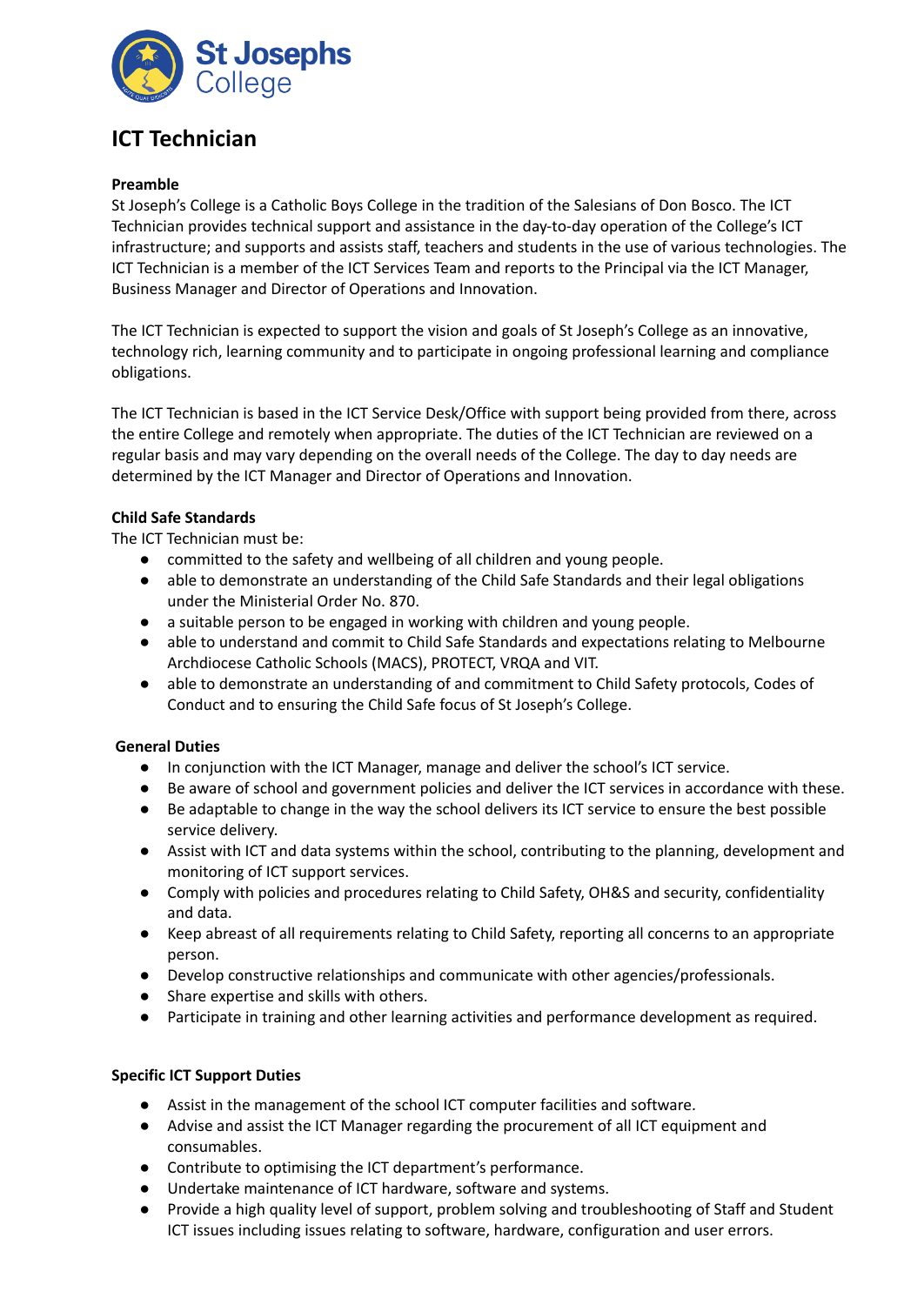

# **ICT Technician**

## **Preamble**

St Joseph's College is a Catholic Boys College in the tradition of the Salesians of Don Bosco. The ICT Technician provides technical support and assistance in the day-to-day operation of the College's ICT infrastructure; and supports and assists staff, teachers and students in the use of various technologies. The ICT Technician is a member of the ICT Services Team and reports to the Principal via the ICT Manager, Business Manager and Director of Operations and Innovation.

The ICT Technician is expected to support the vision and goals of St Joseph's College as an innovative, technology rich, learning community and to participate in ongoing professional learning and compliance obligations.

The ICT Technician is based in the ICT Service Desk/Office with support being provided from there, across the entire College and remotely when appropriate. The duties of the ICT Technician are reviewed on a regular basis and may vary depending on the overall needs of the College. The day to day needs are determined by the ICT Manager and Director of Operations and Innovation.

## **Child Safe Standards**

The ICT Technician must be:

- committed to the safety and wellbeing of all children and young people.
- able to demonstrate an understanding of the Child Safe Standards and their legal obligations under the Ministerial Order No. 870.
- a suitable person to be engaged in working with children and young people.
- able to understand and commit to Child Safe Standards and expectations relating to Melbourne Archdiocese Catholic Schools (MACS), PROTECT, VRQA and VIT.
- able to demonstrate an understanding of and commitment to Child Safety protocols, Codes of Conduct and to ensuring the Child Safe focus of St Joseph's College.

# **General Duties**

- In conjunction with the ICT Manager, manage and deliver the school's ICT service.
- Be aware of school and government policies and deliver the ICT services in accordance with these.
- Be adaptable to change in the way the school delivers its ICT service to ensure the best possible service delivery.
- Assist with ICT and data systems within the school, contributing to the planning, development and monitoring of ICT support services.
- Comply with policies and procedures relating to Child Safety, OH&S and security, confidentiality and data.
- Keep abreast of all requirements relating to Child Safety, reporting all concerns to an appropriate person.
- Develop constructive relationships and communicate with other agencies/professionals.
- Share expertise and skills with others.
- Participate in training and other learning activities and performance development as required.

#### **Specific ICT Support Duties**

- Assist in the management of the school ICT computer facilities and software.
- Advise and assist the ICT Manager regarding the procurement of all ICT equipment and consumables.
- Contribute to optimising the ICT department's performance.
- Undertake maintenance of ICT hardware, software and systems.
- Provide a high quality level of support, problem solving and troubleshooting of Staff and Student ICT issues including issues relating to software, hardware, configuration and user errors.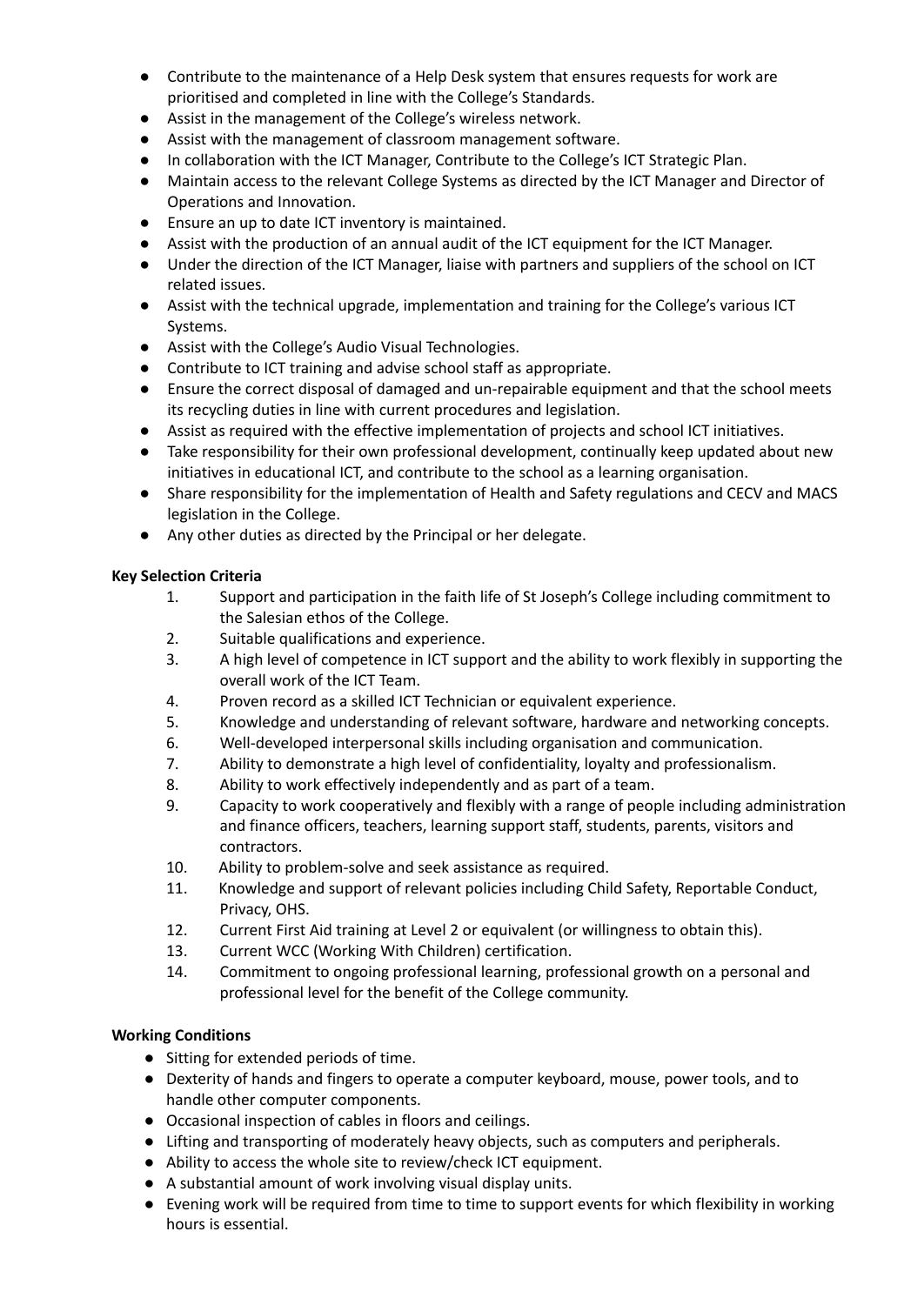- Contribute to the maintenance of a Help Desk system that ensures requests for work are prioritised and completed in line with the College's Standards.
- Assist in the management of the College's wireless network.
- Assist with the management of classroom management software.
- In collaboration with the ICT Manager, Contribute to the College's ICT Strategic Plan.
- Maintain access to the relevant College Systems as directed by the ICT Manager and Director of Operations and Innovation.
- Ensure an up to date ICT inventory is maintained.
- Assist with the production of an annual audit of the ICT equipment for the ICT Manager.
- Under the direction of the ICT Manager, liaise with partners and suppliers of the school on ICT related issues.
- Assist with the technical upgrade, implementation and training for the College's various ICT Systems.
- Assist with the College's Audio Visual Technologies.
- Contribute to ICT training and advise school staff as appropriate.
- Ensure the correct disposal of damaged and un-repairable equipment and that the school meets its recycling duties in line with current procedures and legislation.
- Assist as required with the effective implementation of projects and school ICT initiatives.
- Take responsibility for their own professional development, continually keep updated about new initiatives in educational ICT, and contribute to the school as a learning organisation.
- Share responsibility for the implementation of Health and Safety regulations and CECV and MACS legislation in the College.
- Any other duties as directed by the Principal or her delegate.

## **Key Selection Criteria**

- 1. Support and participation in the faith life of St Joseph's College including commitment to the Salesian ethos of the College.
- 2. Suitable qualifications and experience.
- 3. A high level of competence in ICT support and the ability to work flexibly in supporting the overall work of the ICT Team.
- 4. Proven record as a skilled ICT Technician or equivalent experience.
- 5. Knowledge and understanding of relevant software, hardware and networking concepts.
- 6. Well-developed interpersonal skills including organisation and communication.
- 7. Ability to demonstrate a high level of confidentiality, loyalty and professionalism.
- 8. Ability to work effectively independently and as part of a team.
- 9. Capacity to work cooperatively and flexibly with a range of people including administration and finance officers, teachers, learning support staff, students, parents, visitors and contractors.
- 10. Ability to problem-solve and seek assistance as required.
- 11. Knowledge and support of relevant policies including Child Safety, Reportable Conduct, Privacy, OHS.
- 12. Current First Aid training at Level 2 or equivalent (or willingness to obtain this).
- 13. Current WCC (Working With Children) certification.
- 14. Commitment to ongoing professional learning, professional growth on a personal and professional level for the benefit of the College community.

# **Working Conditions**

- Sitting for extended periods of time.
- Dexterity of hands and fingers to operate a computer keyboard, mouse, power tools, and to handle other computer components.
- Occasional inspection of cables in floors and ceilings.
- Lifting and transporting of moderately heavy objects, such as computers and peripherals.
- Ability to access the whole site to review/check ICT equipment.
- A substantial amount of work involving visual display units.
- Evening work will be required from time to time to support events for which flexibility in working hours is essential.